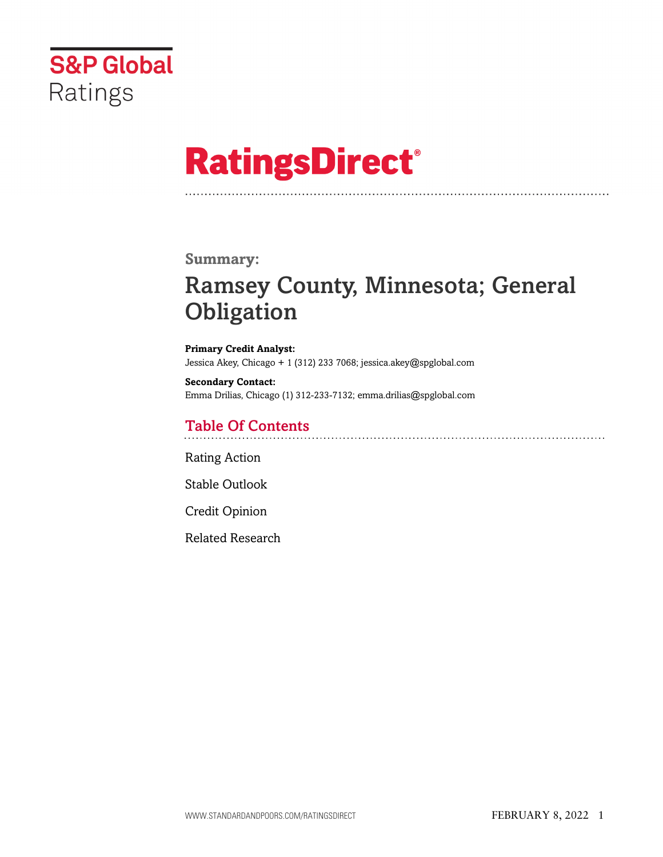

# **RatingsDirect®**

### **Summary:**

# Ramsey County, Minnesota; General **Obligation**

**Primary Credit Analyst:** Jessica Akey, Chicago + 1 (312) 233 7068; jessica.akey@spglobal.com

**Secondary Contact:** Emma Drilias, Chicago (1) 312-233-7132; emma.drilias@spglobal.com

# Table Of Contents

[Rating Action](#page-1-0)

[Stable Outlook](#page-2-0)

[Credit Opinion](#page-2-1)

[Related Research](#page-6-0)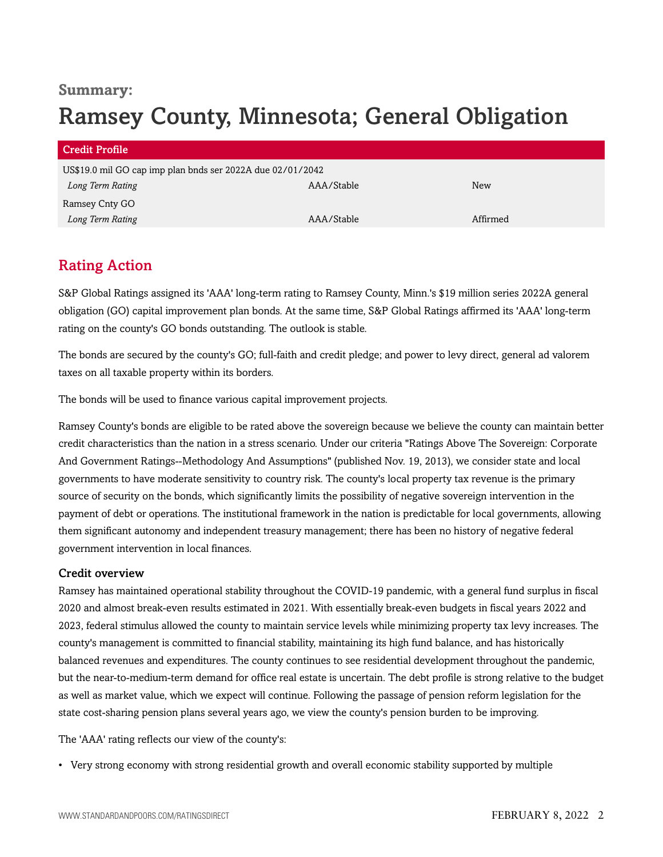## **Summary:**

# Ramsey County, Minnesota; General Obligation

| <b>Credit Profile</b>                                      |            |            |  |  |  |
|------------------------------------------------------------|------------|------------|--|--|--|
| US\$19.0 mil GO cap imp plan bnds ser 2022A due 02/01/2042 |            |            |  |  |  |
| Long Term Rating                                           | AAA/Stable | <b>New</b> |  |  |  |
| Ramsey Cnty GO                                             |            |            |  |  |  |
| Long Term Rating                                           | AAA/Stable | Affirmed   |  |  |  |

# <span id="page-1-0"></span>Rating Action

S&P Global Ratings assigned its 'AAA' long-term rating to Ramsey County, Minn.'s \$19 million series 2022A general obligation (GO) capital improvement plan bonds. At the same time, S&P Global Ratings affirmed its 'AAA' long-term rating on the county's GO bonds outstanding. The outlook is stable.

The bonds are secured by the county's GO; full-faith and credit pledge; and power to levy direct, general ad valorem taxes on all taxable property within its borders.

The bonds will be used to finance various capital improvement projects.

Ramsey County's bonds are eligible to be rated above the sovereign because we believe the county can maintain better credit characteristics than the nation in a stress scenario. Under our criteria "Ratings Above The Sovereign: Corporate And Government Ratings--Methodology And Assumptions" (published Nov. 19, 2013), we consider state and local governments to have moderate sensitivity to country risk. The county's local property tax revenue is the primary source of security on the bonds, which significantly limits the possibility of negative sovereign intervention in the payment of debt or operations. The institutional framework in the nation is predictable for local governments, allowing them significant autonomy and independent treasury management; there has been no history of negative federal government intervention in local finances.

#### Credit overview

Ramsey has maintained operational stability throughout the COVID-19 pandemic, with a general fund surplus in fiscal 2020 and almost break-even results estimated in 2021. With essentially break-even budgets in fiscal years 2022 and 2023, federal stimulus allowed the county to maintain service levels while minimizing property tax levy increases. The county's management is committed to financial stability, maintaining its high fund balance, and has historically balanced revenues and expenditures. The county continues to see residential development throughout the pandemic, but the near-to-medium-term demand for office real estate is uncertain. The debt profile is strong relative to the budget as well as market value, which we expect will continue. Following the passage of pension reform legislation for the state cost-sharing pension plans several years ago, we view the county's pension burden to be improving.

The 'AAA' rating reflects our view of the county's:

• Very strong economy with strong residential growth and overall economic stability supported by multiple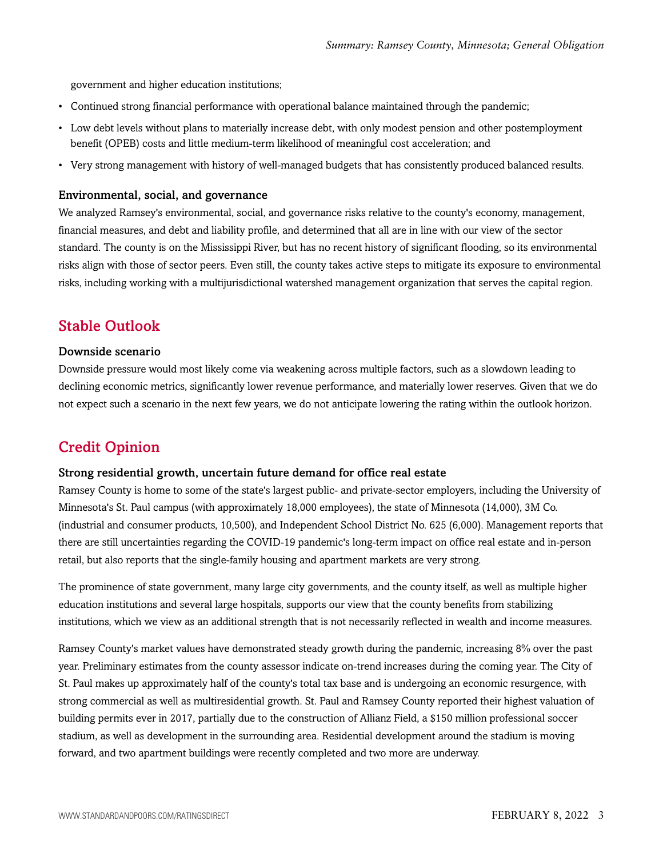government and higher education institutions;

- Continued strong financial performance with operational balance maintained through the pandemic;
- Low debt levels without plans to materially increase debt, with only modest pension and other postemployment benefit (OPEB) costs and little medium-term likelihood of meaningful cost acceleration; and
- Very strong management with history of well-managed budgets that has consistently produced balanced results.

#### Environmental, social, and governance

We analyzed Ramsey's environmental, social, and governance risks relative to the county's economy, management, financial measures, and debt and liability profile, and determined that all are in line with our view of the sector standard. The county is on the Mississippi River, but has no recent history of significant flooding, so its environmental risks align with those of sector peers. Even still, the county takes active steps to mitigate its exposure to environmental risks, including working with a multijurisdictional watershed management organization that serves the capital region.

# <span id="page-2-0"></span>Stable Outlook

#### Downside scenario

Downside pressure would most likely come via weakening across multiple factors, such as a slowdown leading to declining economic metrics, significantly lower revenue performance, and materially lower reserves. Given that we do not expect such a scenario in the next few years, we do not anticipate lowering the rating within the outlook horizon.

## <span id="page-2-1"></span>Credit Opinion

#### Strong residential growth, uncertain future demand for office real estate

Ramsey County is home to some of the state's largest public- and private-sector employers, including the University of Minnesota's St. Paul campus (with approximately 18,000 employees), the state of Minnesota (14,000), 3M Co. (industrial and consumer products, 10,500), and Independent School District No. 625 (6,000). Management reports that there are still uncertainties regarding the COVID-19 pandemic's long-term impact on office real estate and in-person retail, but also reports that the single-family housing and apartment markets are very strong.

The prominence of state government, many large city governments, and the county itself, as well as multiple higher education institutions and several large hospitals, supports our view that the county benefits from stabilizing institutions, which we view as an additional strength that is not necessarily reflected in wealth and income measures.

Ramsey County's market values have demonstrated steady growth during the pandemic, increasing 8% over the past year. Preliminary estimates from the county assessor indicate on-trend increases during the coming year. The City of St. Paul makes up approximately half of the county's total tax base and is undergoing an economic resurgence, with strong commercial as well as multiresidential growth. St. Paul and Ramsey County reported their highest valuation of building permits ever in 2017, partially due to the construction of Allianz Field, a \$150 million professional soccer stadium, as well as development in the surrounding area. Residential development around the stadium is moving forward, and two apartment buildings were recently completed and two more are underway.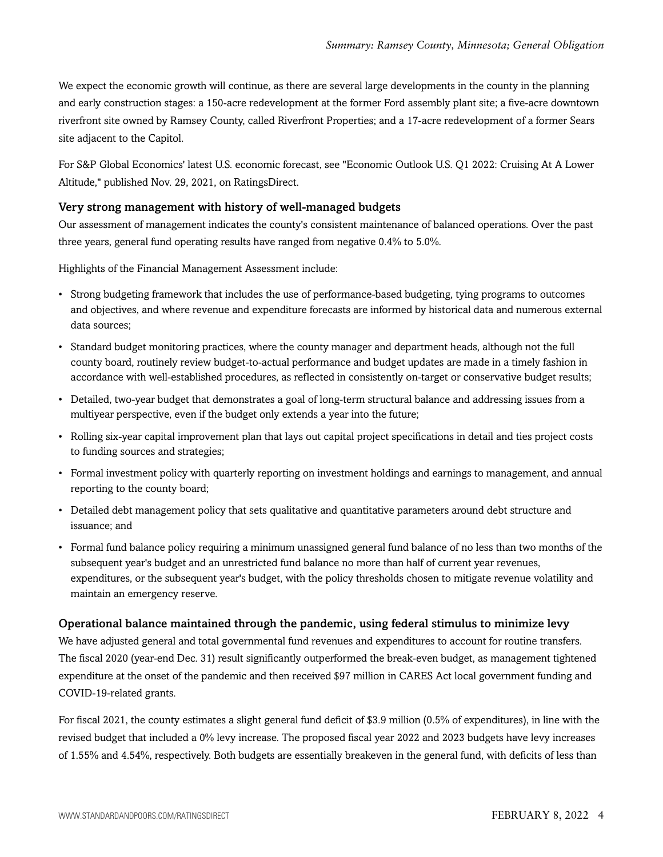We expect the economic growth will continue, as there are several large developments in the county in the planning and early construction stages: a 150-acre redevelopment at the former Ford assembly plant site; a five-acre downtown riverfront site owned by Ramsey County, called Riverfront Properties; and a 17-acre redevelopment of a former Sears site adjacent to the Capitol.

For S&P Global Economics' latest U.S. economic forecast, see "Economic Outlook U.S. Q1 2022: Cruising At A Lower Altitude," published Nov. 29, 2021, on RatingsDirect.

#### Very strong management with history of well-managed budgets

Our assessment of management indicates the county's consistent maintenance of balanced operations. Over the past three years, general fund operating results have ranged from negative 0.4% to 5.0%.

Highlights of the Financial Management Assessment include:

- Strong budgeting framework that includes the use of performance-based budgeting, tying programs to outcomes and objectives, and where revenue and expenditure forecasts are informed by historical data and numerous external data sources;
- Standard budget monitoring practices, where the county manager and department heads, although not the full county board, routinely review budget-to-actual performance and budget updates are made in a timely fashion in accordance with well-established procedures, as reflected in consistently on-target or conservative budget results;
- Detailed, two-year budget that demonstrates a goal of long-term structural balance and addressing issues from a multiyear perspective, even if the budget only extends a year into the future;
- Rolling six-year capital improvement plan that lays out capital project specifications in detail and ties project costs to funding sources and strategies;
- Formal investment policy with quarterly reporting on investment holdings and earnings to management, and annual reporting to the county board;
- Detailed debt management policy that sets qualitative and quantitative parameters around debt structure and issuance; and
- Formal fund balance policy requiring a minimum unassigned general fund balance of no less than two months of the subsequent year's budget and an unrestricted fund balance no more than half of current year revenues, expenditures, or the subsequent year's budget, with the policy thresholds chosen to mitigate revenue volatility and maintain an emergency reserve.

#### Operational balance maintained through the pandemic, using federal stimulus to minimize levy

We have adjusted general and total governmental fund revenues and expenditures to account for routine transfers. The fiscal 2020 (year-end Dec. 31) result significantly outperformed the break-even budget, as management tightened expenditure at the onset of the pandemic and then received \$97 million in CARES Act local government funding and COVID-19-related grants.

For fiscal 2021, the county estimates a slight general fund deficit of \$3.9 million (0.5% of expenditures), in line with the revised budget that included a 0% levy increase. The proposed fiscal year 2022 and 2023 budgets have levy increases of 1.55% and 4.54%, respectively. Both budgets are essentially breakeven in the general fund, with deficits of less than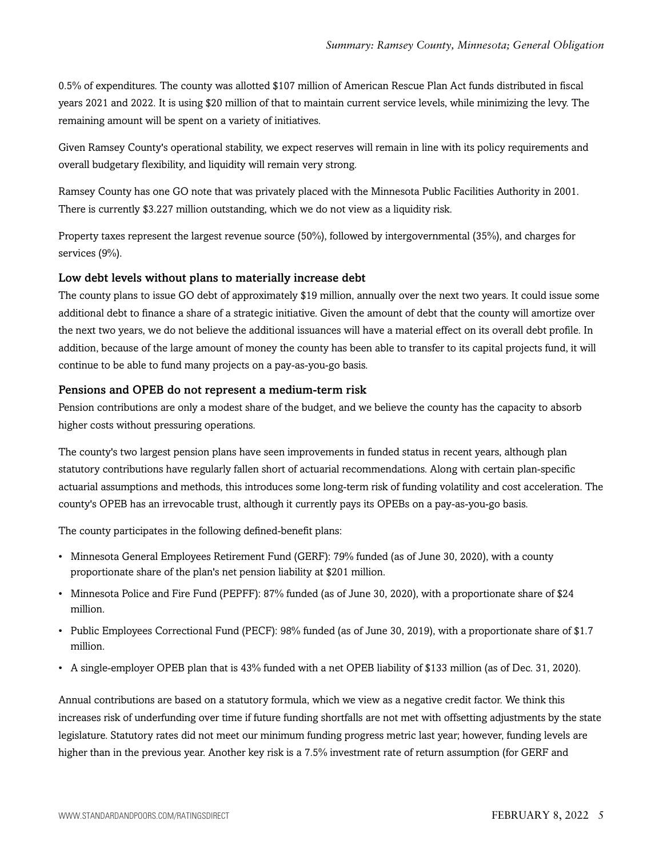0.5% of expenditures. The county was allotted \$107 million of American Rescue Plan Act funds distributed in fiscal years 2021 and 2022. It is using \$20 million of that to maintain current service levels, while minimizing the levy. The remaining amount will be spent on a variety of initiatives.

Given Ramsey County's operational stability, we expect reserves will remain in line with its policy requirements and overall budgetary flexibility, and liquidity will remain very strong.

Ramsey County has one GO note that was privately placed with the Minnesota Public Facilities Authority in 2001. There is currently \$3.227 million outstanding, which we do not view as a liquidity risk.

Property taxes represent the largest revenue source (50%), followed by intergovernmental (35%), and charges for services (9%).

#### Low debt levels without plans to materially increase debt

The county plans to issue GO debt of approximately \$19 million, annually over the next two years. It could issue some additional debt to finance a share of a strategic initiative. Given the amount of debt that the county will amortize over the next two years, we do not believe the additional issuances will have a material effect on its overall debt profile. In addition, because of the large amount of money the county has been able to transfer to its capital projects fund, it will continue to be able to fund many projects on a pay-as-you-go basis.

#### Pensions and OPEB do not represent a medium-term risk

Pension contributions are only a modest share of the budget, and we believe the county has the capacity to absorb higher costs without pressuring operations.

The county's two largest pension plans have seen improvements in funded status in recent years, although plan statutory contributions have regularly fallen short of actuarial recommendations. Along with certain plan-specific actuarial assumptions and methods, this introduces some long-term risk of funding volatility and cost acceleration. The county's OPEB has an irrevocable trust, although it currently pays its OPEBs on a pay-as-you-go basis.

The county participates in the following defined-benefit plans:

- Minnesota General Employees Retirement Fund (GERF): 79% funded (as of June 30, 2020), with a county proportionate share of the plan's net pension liability at \$201 million.
- Minnesota Police and Fire Fund (PEPFF): 87% funded (as of June 30, 2020), with a proportionate share of \$24 million.
- Public Employees Correctional Fund (PECF): 98% funded (as of June 30, 2019), with a proportionate share of \$1.7 million.
- A single-employer OPEB plan that is 43% funded with a net OPEB liability of \$133 million (as of Dec. 31, 2020).

Annual contributions are based on a statutory formula, which we view as a negative credit factor. We think this increases risk of underfunding over time if future funding shortfalls are not met with offsetting adjustments by the state legislature. Statutory rates did not meet our minimum funding progress metric last year; however, funding levels are higher than in the previous year. Another key risk is a 7.5% investment rate of return assumption (for GERF and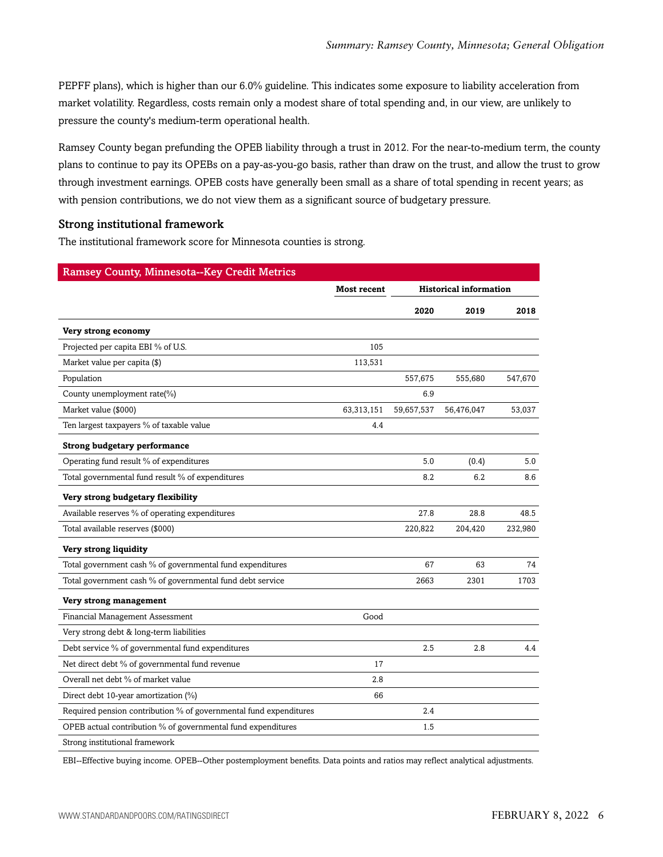PEPFF plans), which is higher than our 6.0% guideline. This indicates some exposure to liability acceleration from market volatility. Regardless, costs remain only a modest share of total spending and, in our view, are unlikely to pressure the county's medium-term operational health.

Ramsey County began prefunding the OPEB liability through a trust in 2012. For the near-to-medium term, the county plans to continue to pay its OPEBs on a pay-as-you-go basis, rather than draw on the trust, and allow the trust to grow through investment earnings. OPEB costs have generally been small as a share of total spending in recent years; as with pension contributions, we do not view them as a significant source of budgetary pressure.

#### Strong institutional framework

The institutional framework score for Minnesota counties is strong.

| <b>Ramsey County, Minnesota--Key Credit Metrics</b>               |                    |                               |            |         |
|-------------------------------------------------------------------|--------------------|-------------------------------|------------|---------|
|                                                                   | <b>Most recent</b> | <b>Historical information</b> |            |         |
|                                                                   |                    | 2020                          | 2019       | 2018    |
| Very strong economy                                               |                    |                               |            |         |
| Projected per capita EBI % of U.S.                                | 105                |                               |            |         |
| Market value per capita (\$)                                      | 113,531            |                               |            |         |
| Population                                                        |                    | 557,675                       | 555,680    | 547,670 |
| County unemployment rate(%)                                       |                    | 6.9                           |            |         |
| Market value (\$000)                                              | 63,313,151         | 59,657,537                    | 56,476,047 | 53,037  |
| Ten largest taxpayers % of taxable value                          | 4.4                |                               |            |         |
| <b>Strong budgetary performance</b>                               |                    |                               |            |         |
| Operating fund result % of expenditures                           |                    | 5.0                           | (0.4)      | 5.0     |
| Total governmental fund result % of expenditures                  |                    | 8.2                           | 6.2        | 8.6     |
| Very strong budgetary flexibility                                 |                    |                               |            |         |
| Available reserves % of operating expenditures                    |                    | 27.8                          | 28.8       | 48.5    |
| Total available reserves (\$000)                                  |                    | 220,822                       | 204,420    | 232,980 |
| Very strong liquidity                                             |                    |                               |            |         |
| Total government cash % of governmental fund expenditures         |                    | 67                            | 63         | 74      |
| Total government cash % of governmental fund debt service         |                    | 2663                          | 2301       | 1703    |
| Very strong management                                            |                    |                               |            |         |
| Financial Management Assessment                                   | Good               |                               |            |         |
| Very strong debt & long-term liabilities                          |                    |                               |            |         |
| Debt service % of governmental fund expenditures                  |                    | 2.5                           | 2.8        | 4.4     |
| Net direct debt % of governmental fund revenue                    | 17                 |                               |            |         |
| Overall net debt % of market value                                | 2.8                |                               |            |         |
| Direct debt 10-year amortization (%)                              | 66                 |                               |            |         |
| Required pension contribution % of governmental fund expenditures |                    | 2.4                           |            |         |
| OPEB actual contribution % of governmental fund expenditures      |                    | 1.5                           |            |         |
| Strong institutional framework                                    |                    |                               |            |         |

EBI--Effective buying income. OPEB--Other postemployment benefits. Data points and ratios may reflect analytical adjustments.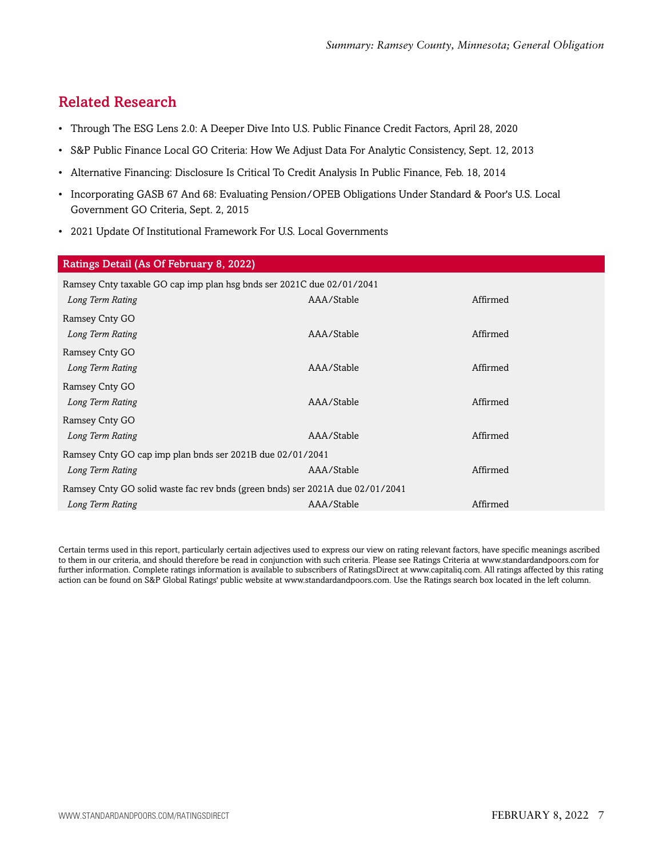# <span id="page-6-0"></span>Related Research

- Through The ESG Lens 2.0: A Deeper Dive Into U.S. Public Finance Credit Factors, April 28, 2020
- S&P Public Finance Local GO Criteria: How We Adjust Data For Analytic Consistency, Sept. 12, 2013
- Alternative Financing: Disclosure Is Critical To Credit Analysis In Public Finance, Feb. 18, 2014
- Incorporating GASB 67 And 68: Evaluating Pension/OPEB Obligations Under Standard & Poor's U.S. Local Government GO Criteria, Sept. 2, 2015
- 2021 Update Of Institutional Framework For U.S. Local Governments

| Ratings Detail (As Of February 8, 2022)                                       |            |          |  |  |  |
|-------------------------------------------------------------------------------|------------|----------|--|--|--|
| Ramsey Cnty taxable GO cap imp plan hsg bnds ser 2021C due 02/01/2041         |            |          |  |  |  |
| Long Term Rating                                                              | AAA/Stable | Affirmed |  |  |  |
| Ramsey Cnty GO                                                                |            |          |  |  |  |
| Long Term Rating                                                              | AAA/Stable | Affirmed |  |  |  |
| Ramsey Cnty GO                                                                |            |          |  |  |  |
| Long Term Rating                                                              | AAA/Stable | Affirmed |  |  |  |
| Ramsey Cnty GO                                                                |            |          |  |  |  |
| Long Term Rating                                                              | AAA/Stable | Affirmed |  |  |  |
| Ramsey Cnty GO                                                                |            |          |  |  |  |
| Long Term Rating                                                              | AAA/Stable | Affirmed |  |  |  |
| Ramsey Cnty GO cap imp plan bnds ser 2021B due 02/01/2041                     |            |          |  |  |  |
| Long Term Rating                                                              | AAA/Stable | Affirmed |  |  |  |
| Ramsey Cnty GO solid waste fac rev bnds (green bnds) ser 2021A due 02/01/2041 |            |          |  |  |  |
| Long Term Rating                                                              | AAA/Stable | Affirmed |  |  |  |

Certain terms used in this report, particularly certain adjectives used to express our view on rating relevant factors, have specific meanings ascribed to them in our criteria, and should therefore be read in conjunction with such criteria. Please see Ratings Criteria at www.standardandpoors.com for further information. Complete ratings information is available to subscribers of RatingsDirect at www.capitaliq.com. All ratings affected by this rating action can be found on S&P Global Ratings' public website at www.standardandpoors.com. Use the Ratings search box located in the left column.